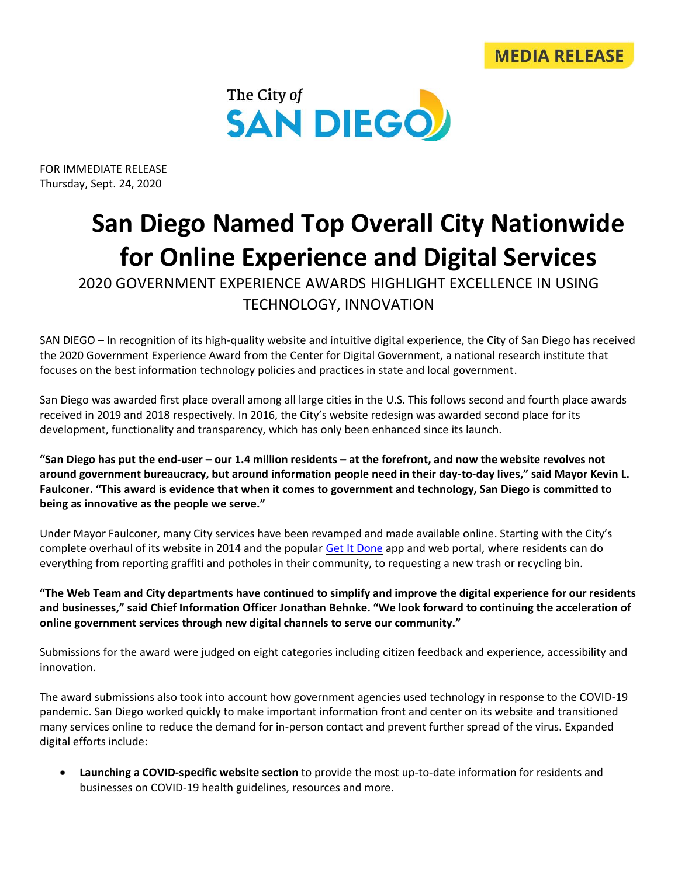



FOR IMMEDIATE RELEASE Thursday, Sept. 24, 2020

## **San Diego Named Top Overall City Nationwide for Online Experience and Digital Services**

2020 GOVERNMENT EXPERIENCE AWARDS HIGHLIGHT EXCELLENCE IN USING TECHNOLOGY, INNOVATION

SAN DIEGO – In recognition of its high-quality website and intuitive digital experience, the City of San Diego has received the 2020 Government Experience Award from the Center for Digital Government, a national research institute that focuses on the best information technology policies and practices in state and local government.

San Diego was awarded first place overall among all large cities in the U.S. This follows second and fourth place awards received in 2019 and 2018 respectively. In 2016, the City's website redesign was awarded second place for its development, functionality and transparency, which has only been enhanced since its launch.

**"San Diego has put the end-user – our 1.4 million residents – at the forefront, and now the website revolves not around government bureaucracy, but around information people need in their day-to-day lives," said Mayor Kevin L. Faulconer. "This award is evidence that when it comes to government and technology, San Diego is committed to being as innovative as the people we serve."**

Under Mayor Faulconer, many City services have been revamped and made available online. Starting with the City's complete overhaul of its website in 2014 and the popular [Get It Done](https://www.sandiego.gov/get-it-done) app and web portal, where residents can do everything from reporting graffiti and potholes in their community, to requesting a new trash or recycling bin.

**"The Web Team and City departments have continued to simplify and improve the digital experience for our residents and businesses," said Chief Information Officer Jonathan Behnke. "We look forward to continuing the acceleration of online government services through new digital channels to serve our community."**

Submissions for the award were judged on eight categories including citizen feedback and experience, accessibility and innovation.

The award submissions also took into account how government agencies used technology in response to the COVID-19 pandemic. San Diego worked quickly to make important information front and center on its website and transitioned many services online to reduce the demand for in-person contact and prevent further spread of the virus. Expanded digital efforts include:

• **Launching a COVID-specific website section** to provide the most up-to-date information for residents and businesses on COVID-19 health guidelines, resources and more.